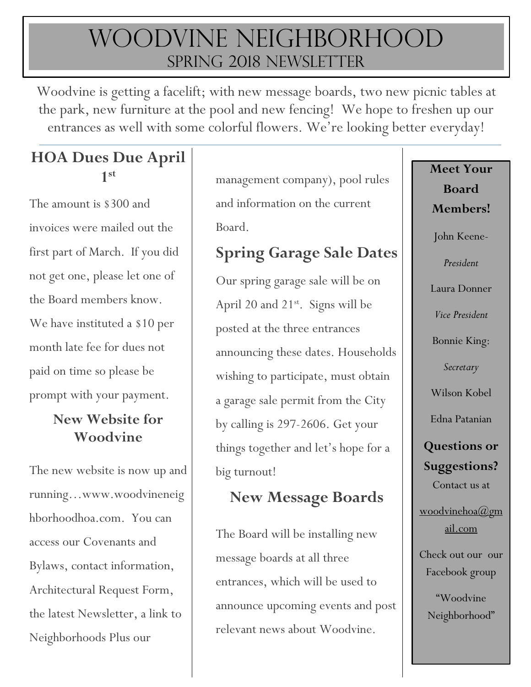# Woodvine Neighborhood SPRING 2018 NEWSLETTER

Woodvine is getting a facelift; with new message boards, two new picnic tables at the park, new furniture at the pool and new fencing! We hope to freshen up our entrances as well with some colorful flowers. We're looking better everyday!

# **HOA Dues Due April 1 st**

The amount is \$300 and invoices were mailed out the first part of March. If you did not get one, please let one of the Board members know. We have instituted a \$10 per month late fee for dues not paid on time so please be prompt with your payment.

#### **New Website for Woodvine**

The new website is now up and running…www.woodvineneig hborhoodhoa.com. You can access our Covenants and Bylaws, contact information, Architectural Request Form, the latest Newsletter, a link to Neighborhoods Plus our

management company), pool rules and information on the current Board.

# **Spring Garage Sale Dates**

Our spring garage sale will be on April 20 and  $21^{st}$ . Signs will be posted at the three entrances announcing these dates. Households wishing to participate, must obtain a garage sale permit from the City by calling is 297-2606. Get your things together and let's hope for a big turnout!

### **New Message Boards**

The Board will be installing new message boards at all three entrances, which will be used to announce upcoming events and post relevant news about Woodvine.

**Board Members!** John Keene-*President* Laura Donner *Vice President* Bonnie King: *Secretary* Wilson Kobel Edna Patanian **Questions or Suggestions?** Contact us at [woodvinehoa@gm](mailto:woodvinehoa@gmail.com) [ail.com](mailto:woodvinehoa@gmail.com)

**Meet Your** 

Check out our our Facebook group

"Woodvine Neighborhood"